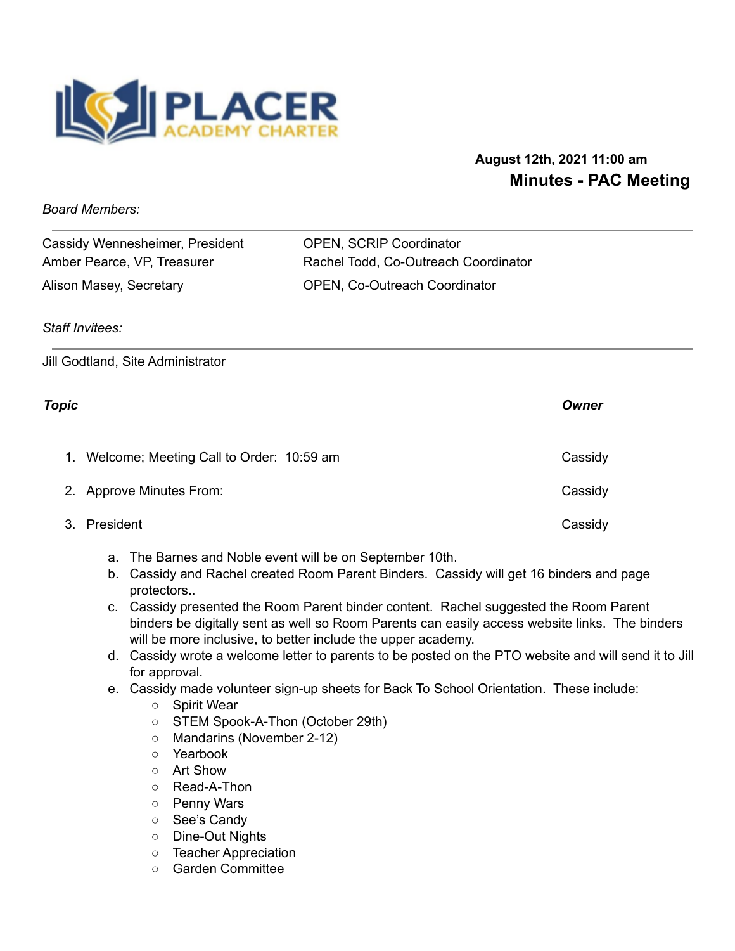

# **August 12th, 2021 11:00 am Minutes - PAC Meeting**

*Board Members:*

| Cassidy Wennesheimer, President | <b>OPEN, SCRIP Coordinator</b>       |
|---------------------------------|--------------------------------------|
| Amber Pearce, VP, Treasurer     | Rachel Todd, Co-Outreach Coordinator |
| Alison Masey, Secretary         | <b>OPEN, Co-Outreach Coordinator</b> |

## *Staff Invitees:*

Jill Godtland, Site Administrator

## *Topic Owner*

| 1. Welcome; Meeting Call to Order: 10:59 am | Cassidy |
|---------------------------------------------|---------|
| 2. Approve Minutes From:                    | Cassidy |
| 3. President                                | Cassidy |

- a. The Barnes and Noble event will be on September 10th.
- b. Cassidy and Rachel created Room Parent Binders. Cassidy will get 16 binders and page protectors..
- c. Cassidy presented the Room Parent binder content. Rachel suggested the Room Parent binders be digitally sent as well so Room Parents can easily access website links. The binders will be more inclusive, to better include the upper academy.
- d. Cassidy wrote a welcome letter to parents to be posted on the PTO website and will send it to Jill for approval.
- e. Cassidy made volunteer sign-up sheets for Back To School Orientation. These include:
	- Spirit Wear
	- STEM Spook-A-Thon (October 29th)
	- Mandarins (November 2-12)
	- Yearbook
	- Art Show
	- Read-A-Thon
	- Penny Wars
	- See's Candy
	- Dine-Out Nights
	- Teacher Appreciation
	- Garden Committee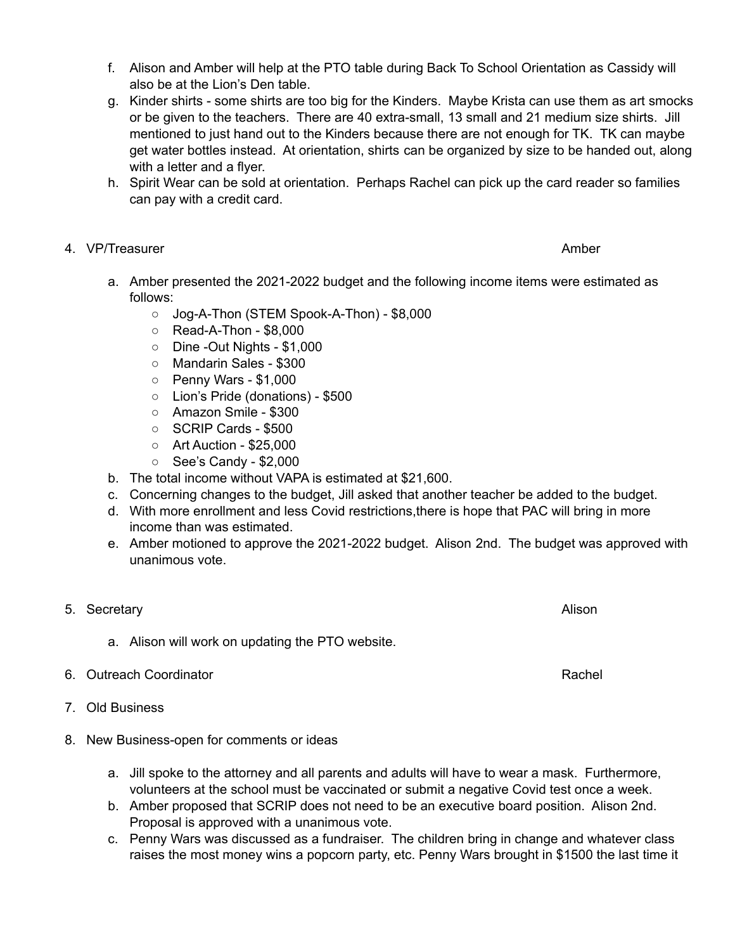- f. Alison and Amber will help at the PTO table during Back To School Orientation as Cassidy will also be at the Lion's Den table.
- g. Kinder shirts some shirts are too big for the Kinders. Maybe Krista can use them as art smocks or be given to the teachers. There are 40 extra-small, 13 small and 21 medium size shirts. Jill mentioned to just hand out to the Kinders because there are not enough for TK. TK can maybe get water bottles instead. At orientation, shirts can be organized by size to be handed out, along with a letter and a flyer.
- h. Spirit Wear can be sold at orientation. Perhaps Rachel can pick up the card reader so families can pay with a credit card.

## 4. VP/Treasurer Amber Amber Amber Amber Amber Amber Amber Amber Amber Amber Amber Amber Amber Amber Amber Amber

- a. Amber presented the 2021-2022 budget and the following income items were estimated as follows:
	- Jog-A-Thon (STEM Spook-A-Thon) \$8,000
	- Read-A-Thon \$8,000
	- Dine -Out Nights \$1,000
	- Mandarin Sales \$300
	- Penny Wars \$1,000
	- Lion's Pride (donations) \$500
	- Amazon Smile \$300
	- SCRIP Cards \$500
	- Art Auction \$25,000
	- See's Candy \$2,000
- b. The total income without VAPA is estimated at \$21,600.
- c. Concerning changes to the budget, Jill asked that another teacher be added to the budget.
- d. With more enrollment and less Covid restrictions,there is hope that PAC will bring in more income than was estimated.
- e. Amber motioned to approve the 2021-2022 budget. Alison 2nd. The budget was approved with unanimous vote.
- 5. Secretary **Alison** Alison and *Secretary* **Alison** 
	- a. Alison will work on updating the PTO website.
- 6. Outreach Coordinator **Rachell** School and The Coordinator Rachell Rachell Rachell Rachell Rachell Rachell Rachell Rachell Rachell Rachell Rachell Rachell Rachell Rachell Rachell Rachell Rachell Rachell Rachell Rachell R
- 7. Old Business
- 8. New Business-open for comments or ideas
	- a. Jill spoke to the attorney and all parents and adults will have to wear a mask. Furthermore, volunteers at the school must be vaccinated or submit a negative Covid test once a week.
	- b. Amber proposed that SCRIP does not need to be an executive board position. Alison 2nd. Proposal is approved with a unanimous vote.
	- c. Penny Wars was discussed as a fundraiser. The children bring in change and whatever class raises the most money wins a popcorn party, etc. Penny Wars brought in \$1500 the last time it